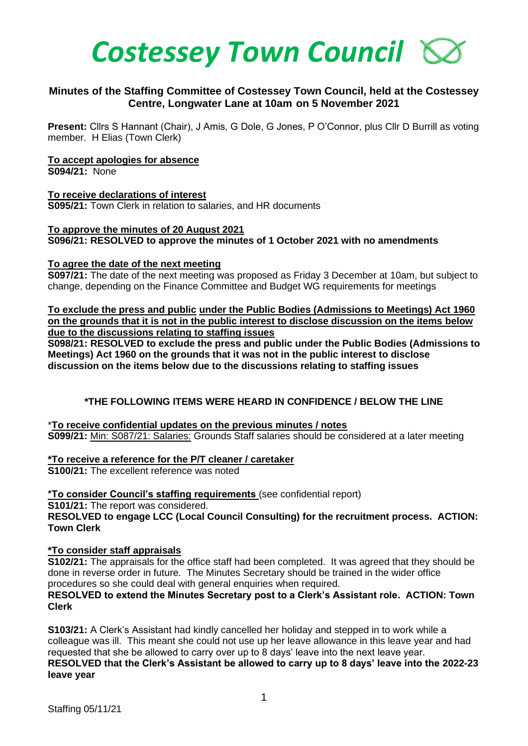

# **Minutes of the Staffing Committee of Costessey Town Council, held at the Costessey Centre, Longwater Lane at 10am on 5 November 2021**

**Present:** Cllrs S Hannant (Chair), J Amis, G Dole, G Jones, P O'Connor, plus Cllr D Burrill as voting member. H Elias (Town Clerk)

#### **To accept apologies for absence**

**S094/21:** None

**To receive declarations of interest S095/21:** Town Clerk in relation to salaries, and HR documents

# **To approve the minutes of 20 August 2021**

**S096/21: RESOLVED to approve the minutes of 1 October 2021 with no amendments**

# **To agree the date of the next meeting**

**S097/21:** The date of the next meeting was proposed as Friday 3 December at 10am, but subject to change, depending on the Finance Committee and Budget WG requirements for meetings

**To exclude the press and public under the Public Bodies (Admissions to Meetings) Act 1960 on the grounds that it is not in the public interest to disclose discussion on the items below due to the discussions relating to staffing issues**

**S098/21: RESOLVED to exclude the press and public under the Public Bodies (Admissions to Meetings) Act 1960 on the grounds that it was not in the public interest to disclose discussion on the items below due to the discussions relating to staffing issues** 

# **\*THE FOLLOWING ITEMS WERE HEARD IN CONFIDENCE / BELOW THE LINE**

\***To receive confidential updates on the previous minutes / notes S099/21:** Min: S087/21: Salaries: Grounds Staff salaries should be considered at a later meeting

**\*To receive a reference for the P/T cleaner / caretaker**

**S100/21:** The excellent reference was noted

**\*To consider Council's staffing requirements** (see confidential report)

**S101/21:** The report was considered.

**RESOLVED to engage LCC (Local Council Consulting) for the recruitment process. ACTION: Town Clerk**

#### **\*To consider staff appraisals**

**S102/21:** The appraisals for the office staff had been completed. It was agreed that they should be done in reverse order in future. The Minutes Secretary should be trained in the wider office procedures so she could deal with general enquiries when required.

#### **RESOLVED to extend the Minutes Secretary post to a Clerk's Assistant role. ACTION: Town Clerk**

**S103/21:** A Clerk's Assistant had kindly cancelled her holiday and stepped in to work while a colleague was ill. This meant she could not use up her leave allowance in this leave year and had requested that she be allowed to carry over up to 8 days' leave into the next leave year. **RESOLVED that the Clerk's Assistant be allowed to carry up to 8 days' leave into the 2022-23 leave year**